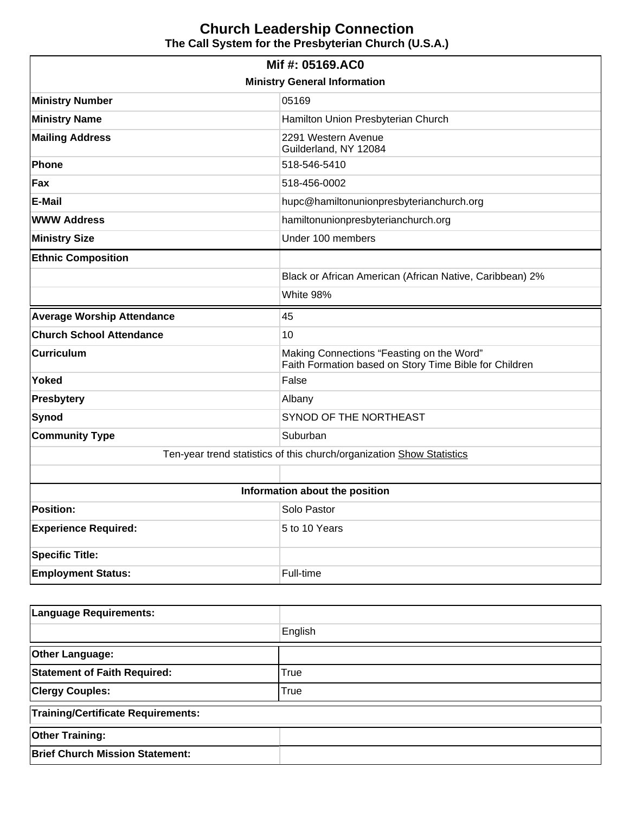# **Church Leadership Connection The Call System for the Presbyterian Church (U.S.A.)**

| Mif #: 05169.AC0                    |                                                                                                     |  |  |  |
|-------------------------------------|-----------------------------------------------------------------------------------------------------|--|--|--|
| <b>Ministry General Information</b> |                                                                                                     |  |  |  |
| <b>Ministry Number</b>              | 05169                                                                                               |  |  |  |
| <b>Ministry Name</b>                | Hamilton Union Presbyterian Church                                                                  |  |  |  |
| <b>Mailing Address</b>              | 2291 Western Avenue<br>Guilderland, NY 12084                                                        |  |  |  |
| Phone                               | 518-546-5410                                                                                        |  |  |  |
| Fax                                 | 518-456-0002                                                                                        |  |  |  |
| <b>E-Mail</b>                       | hupc@hamiltonunionpresbyterianchurch.org                                                            |  |  |  |
| <b>WWW Address</b>                  | hamiltonunionpresbyterianchurch.org                                                                 |  |  |  |
| <b>Ministry Size</b>                | Under 100 members                                                                                   |  |  |  |
| <b>Ethnic Composition</b>           |                                                                                                     |  |  |  |
|                                     | Black or African American (African Native, Caribbean) 2%                                            |  |  |  |
|                                     | White 98%                                                                                           |  |  |  |
| <b>Average Worship Attendance</b>   | 45                                                                                                  |  |  |  |
| <b>Church School Attendance</b>     | 10                                                                                                  |  |  |  |
| <b>Curriculum</b>                   | Making Connections "Feasting on the Word"<br>Faith Formation based on Story Time Bible for Children |  |  |  |
| <b>Yoked</b>                        | False                                                                                               |  |  |  |
| <b>Presbytery</b>                   | Albany                                                                                              |  |  |  |
|                                     | SYNOD OF THE NORTHEAST                                                                              |  |  |  |
| <b>Synod</b>                        |                                                                                                     |  |  |  |
| <b>Community Type</b>               | Suburban                                                                                            |  |  |  |
|                                     | Ten-year trend statistics of this church/organization Show Statistics                               |  |  |  |
|                                     |                                                                                                     |  |  |  |
|                                     | Information about the position                                                                      |  |  |  |
| <b>Position:</b>                    | Solo Pastor                                                                                         |  |  |  |
| <b>Experience Required:</b>         | 5 to 10 Years                                                                                       |  |  |  |
| <b>Specific Title:</b>              |                                                                                                     |  |  |  |

| <b>Language Requirements:</b>             |             |  |
|-------------------------------------------|-------------|--|
|                                           | English     |  |
| <b>Other Language:</b>                    |             |  |
| <b>Statement of Faith Required:</b>       | True        |  |
| <b>Clergy Couples:</b>                    | <b>True</b> |  |
| <b>Training/Certificate Requirements:</b> |             |  |
| <b>Other Training:</b>                    |             |  |
| <b>Brief Church Mission Statement:</b>    |             |  |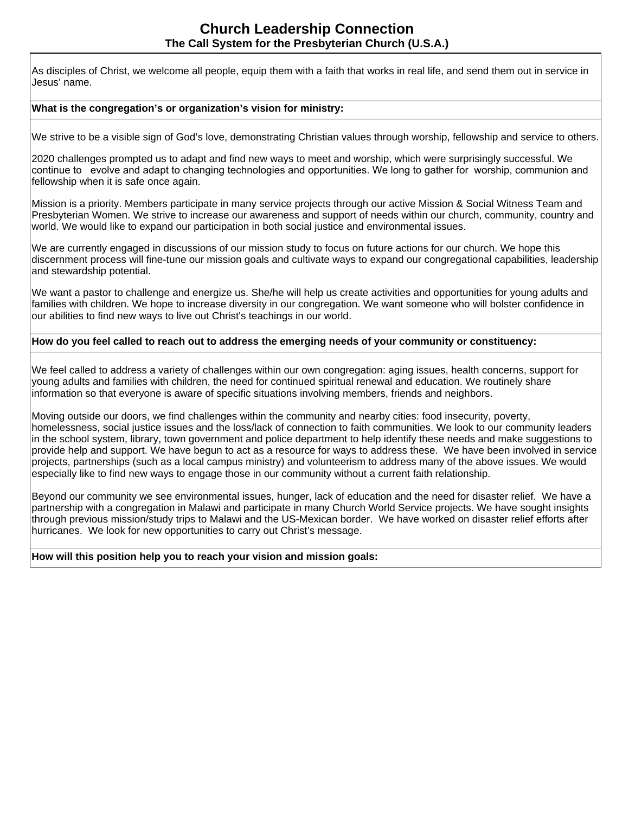As disciples of Christ, we welcome all people, equip them with a faith that works in real life, and send them out in service in Jesus' name.

#### **What is the congregation's or organization's vision for ministry:**

We strive to be a visible sign of God's love, demonstrating Christian values through worship, fellowship and service to others.

2020 challenges prompted us to adapt and find new ways to meet and worship, which were surprisingly successful. We continue to evolve and adapt to changing technologies and opportunities. We long to gather for worship, communion and fellowship when it is safe once again.

Mission is a priority. Members participate in many service projects through our active Mission & Social Witness Team and Presbyterian Women. We strive to increase our awareness and support of needs within our church, community, country and world. We would like to expand our participation in both social justice and environmental issues.

We are currently engaged in discussions of our mission study to focus on future actions for our church. We hope this discernment process will fine-tune our mission goals and cultivate ways to expand our congregational capabilities, leadership and stewardship potential.

We want a pastor to challenge and energize us. She/he will help us create activities and opportunities for young adults and families with children. We hope to increase diversity in our congregation. We want someone who will bolster confidence in our abilities to find new ways to live out Christ's teachings in our world.

#### **How do you feel called to reach out to address the emerging needs of your community or constituency:**

We feel called to address a variety of challenges within our own congregation: aging issues, health concerns, support for young adults and families with children, the need for continued spiritual renewal and education. We routinely share information so that everyone is aware of specific situations involving members, friends and neighbors.

Moving outside our doors, we find challenges within the community and nearby cities: food insecurity, poverty, homelessness, social justice issues and the loss/lack of connection to faith communities. We look to our community leaders in the school system, library, town government and police department to help identify these needs and make suggestions to provide help and support. We have begun to act as a resource for ways to address these. We have been involved in service projects, partnerships (such as a local campus ministry) and volunteerism to address many of the above issues. We would especially like to find new ways to engage those in our community without a current faith relationship.

Beyond our community we see environmental issues, hunger, lack of education and the need for disaster relief. We have a partnership with a congregation in Malawi and participate in many Church World Service projects. We have sought insights through previous mission/study trips to Malawi and the US-Mexican border. We have worked on disaster relief efforts after hurricanes. We look for new opportunities to carry out Christ's message.

#### **How will this position help you to reach your vision and mission goals:**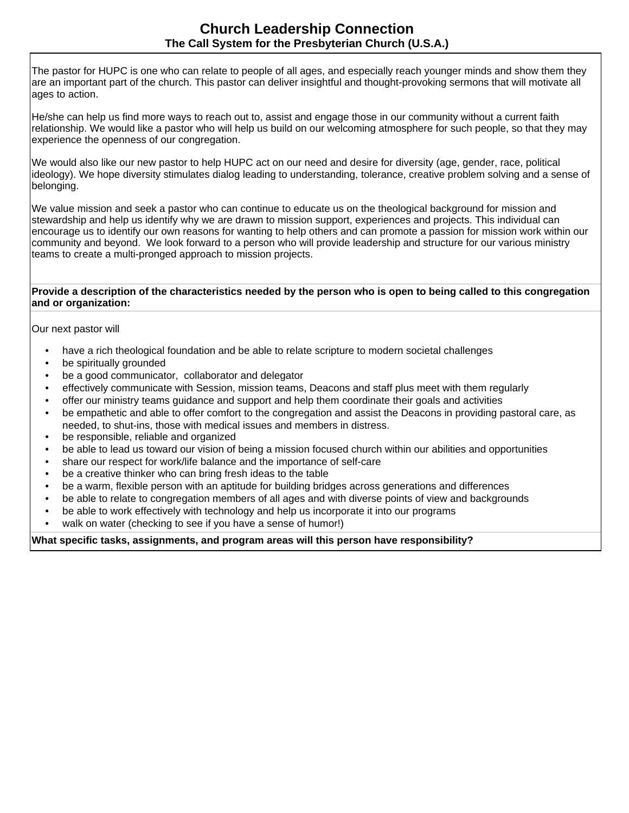The pastor for HUPC is one who can relate to people of all ages, and especially reach younger minds and show them they are an important part of the church. This pastor can deliver insightful and thought-provoking sermons that will motivate all ages to action.

He/she can help us find more ways to reach out to, assist and engage those in our community without a current faith relationship. We would like a pastor who will help us build on our welcoming atmosphere for such people, so that they may experience the openness of our congregation.

We would also like our new pastor to help HUPC act on our need and desire for diversity (age, gender, race, political ideology). We hope diversity stimulates dialog leading to understanding, tolerance, creative problem solving and a sense of belonging.

We value mission and seek a pastor who can continue to educate us on the theological background for mission and stewardship and help us identify why we are drawn to mission support, experiences and projects. This individual can encourage us to identify our own reasons for wanting to help others and can promote a passion for mission work within our community and beyond. We look forward to a person who will provide leadership and structure for our various ministry teams to create a multi-pronged approach to mission projects.

#### **Provide a description of the characteristics needed by the person who is open to being called to this congregation and or organization:**

Our next pastor will

- have a rich theological foundation and be able to relate scripture to modern societal challenges
- be spiritually grounded
- be a good communicator, collaborator and delegator
- effectively communicate with Session, mission teams, Deacons and staff plus meet with them regularly
- offer our ministry teams guidance and support and help them coordinate their goals and activities
- be empathetic and able to offer comfort to the congregation and assist the Deacons in providing pastoral care, as needed, to shut-ins, those with medical issues and members in distress.
- be responsible, reliable and organized
- be able to lead us toward our vision of being a mission focused church within our abilities and opportunities
- share our respect for work/life balance and the importance of self-care
- be a creative thinker who can bring fresh ideas to the table
- be a warm, flexible person with an aptitude for building bridges across generations and differences
- be able to relate to congregation members of all ages and with diverse points of view and backgrounds
- be able to work effectively with technology and help us incorporate it into our programs
- walk on water (checking to see if you have a sense of humor!)

#### **What specific tasks, assignments, and program areas will this person have responsibility?**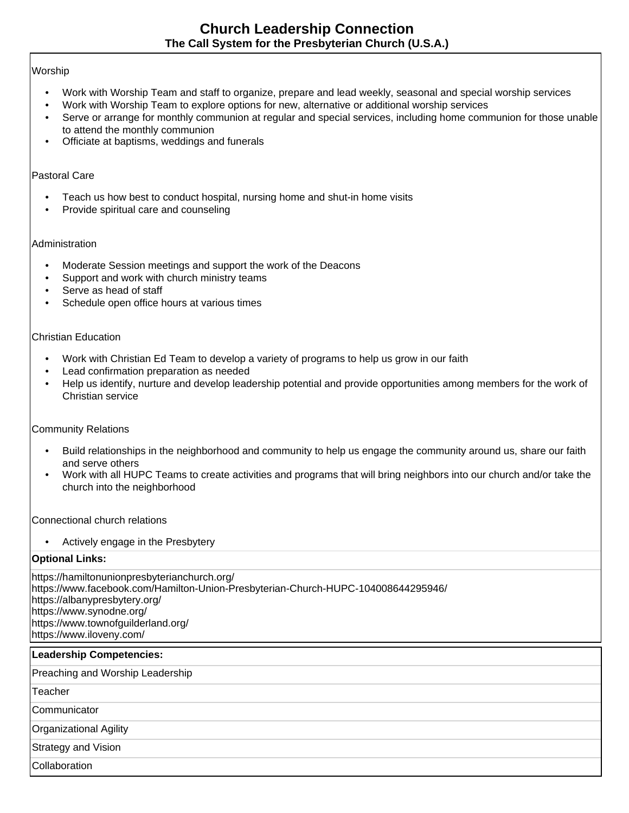## Worship

- Work with Worship Team and staff to organize, prepare and lead weekly, seasonal and special worship services
- Work with Worship Team to explore options for new, alternative or additional worship services
- Serve or arrange for monthly communion at regular and special services, including home communion for those unable to attend the monthly communion
- Officiate at baptisms, weddings and funerals

### Pastoral Care

- Teach us how best to conduct hospital, nursing home and shut-in home visits
- Provide spiritual care and counseling

### Administration

- Moderate Session meetings and support the work of the Deacons
- Support and work with church ministry teams
- Serve as head of staff
- Schedule open office hours at various times

## Christian Education

- Work with Christian Ed Team to develop a variety of programs to help us grow in our faith
- Lead confirmation preparation as needed
- Help us identify, nurture and develop leadership potential and provide opportunities among members for the work of Christian service

# Community Relations

- Build relationships in the neighborhood and community to help us engage the community around us, share our faith and serve others
- Work with all HUPC Teams to create activities and programs that will bring neighbors into our church and/or take the church into the neighborhood

Connectional church relations

• Actively engage in the Presbytery

# **Optional Links:**

https://hamiltonunionpresbyterianchurch.org/ https://www.facebook.com/Hamilton-Union-Presbyterian-Church-HUPC-104008644295946/ https://albanypresbytery.org/ https://www.synodne.org/ https://www.townofguilderland.org/ https://www.iloveny.com/

### **Leadership Competencies:**

Preaching and Worship Leadership

Teacher

**Communicator** 

Organizational Agility

Strategy and Vision

**Collaboration**